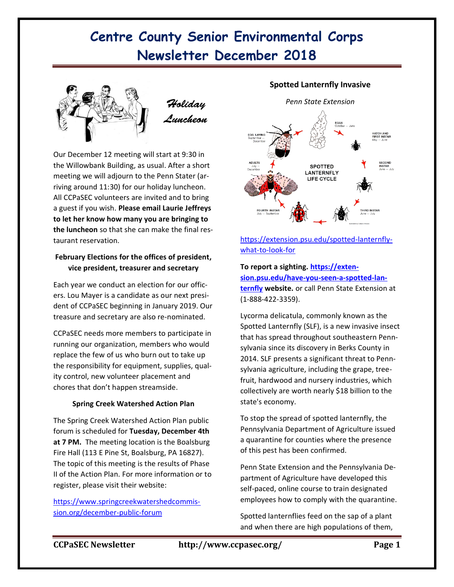# **Centre County Senior Environmental Corps Newsletter December 2018**



Our December 12 meeting will start at 9:30 in the Willowbank Building, as usual. After a short meeting we will adjourn to the Penn Stater (arriving around 11:30) for our holiday luncheon. All CCPaSEC volunteers are invited and to bring a guest if you wish. **Please email Laurie Jeffreys to let her know how many you are bringing to the luncheon** so that she can make the final restaurant reservation.

### **February Elections for the offices of president, vice president, treasurer and secretary**

Each year we conduct an election for our officers. Lou Mayer is a candidate as our next president of CCPaSEC beginning in January 2019. Our treasure and secretary are also re-nominated.

CCPaSEC needs more members to participate in running our organization, members who would replace the few of us who burn out to take up the responsibility for equipment, supplies, quality control, new volunteer placement and chores that don't happen streamside.

### **Spring Creek Watershed Action Plan**

The Spring Creek Watershed Action Plan public forum is scheduled for **Tuesday, December 4th at 7 PM.** The meeting location is the Boalsburg Fire Hall (113 E Pine St, Boalsburg, PA 16827). The topic of this meeting is the results of Phase II of the Action Plan. For more information or to register, please visit their website:

[https://www.springcreekwatershedcommis](https://www.springcreekwatershedcommission.org/december-public-forum)[sion.org/december-public-forum](https://www.springcreekwatershedcommission.org/december-public-forum)

### **Spotted Lanternfly Invasive**



[https://extension.psu.edu/spotted-lanternfly](https://extension.psu.edu/spotted-lanternfly-what-to-look-for)[what-to-look-for](https://extension.psu.edu/spotted-lanternfly-what-to-look-for)

# **To report a sighting[. https://exten](https://extension.psu.edu/have-you-seen-a-spotted-lanternfly)[sion.psu.edu/have-you-seen-a-spotted-lan-](https://extension.psu.edu/have-you-seen-a-spotted-lanternfly)**

**[ternfly](https://extension.psu.edu/have-you-seen-a-spotted-lanternfly) website.** or call Penn State Extension at (1-888-422-3359).

Lycorma delicatula, commonly known as the Spotted Lanternfly (SLF), is a new invasive insect that has spread throughout southeastern Pennsylvania since its discovery in Berks County in 2014. SLF presents a significant threat to Pennsylvania agriculture, including the grape, treefruit, hardwood and nursery industries, which collectively are worth nearly \$18 billion to the state's economy.

To stop the spread of spotted lanternfly, the Pennsylvania Department of Agriculture issued a quarantine for counties where the presence of this pest has been confirmed.

Penn State Extension and the Pennsylvania Department of Agriculture have developed this self-paced, online course to train designated employees how to comply with the quarantine.

Spotted lanternflies feed on the sap of a plant and when there are high populations of them,